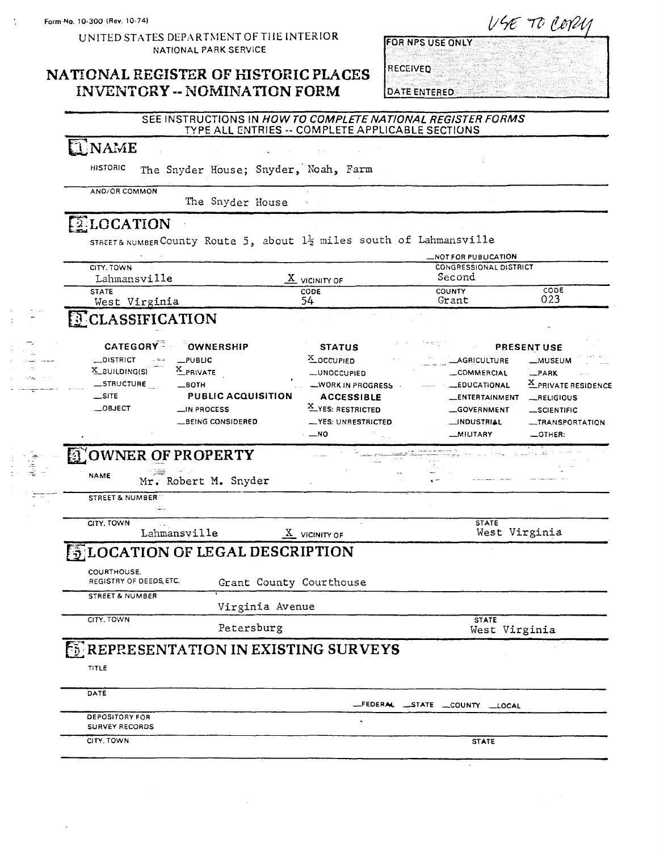UNITED STATES DEPARTMENT OF THE INTERIOR NATIONAL PARK SERVICE

#### NATIONAL REGISTER OF HISTORIC PLACES **INVENTORY -- NOMINATION FORM**

| FOR NPS USE ONLY |  |  |  |  |  |
|------------------|--|--|--|--|--|
|                  |  |  |  |  |  |
|                  |  |  |  |  |  |
| <b>RECEIVED</b>  |  |  |  |  |  |
|                  |  |  |  |  |  |
| DATE ENTERED.    |  |  |  |  |  |

# SEE INSTRUCTIONS IN HOW TO COMPLETE NATIONAL REGISTER FORMS<br>TYPE ALL ENTRIES -- COMPLETE APPLICABLE SECTIONS

#### **ENAME**

**HISTORIC** The Snyder House; Snyder, Noah, Farm

The Snyder House

#### **ELOCATION**

AND/OR COMMON

STREET& NUMBER County Route 5, about 1<sup>1</sup>/<sub>2</sub> miles south of Lahmansville

|                                             |                           |                                     | <b>NOT FOR PUBLICATION.</b>             |                     |
|---------------------------------------------|---------------------------|-------------------------------------|-----------------------------------------|---------------------|
| CITY, TOWN<br>Lahmansville                  |                           |                                     | <b>CONGRESSIONAL DISTRICT</b><br>Second |                     |
| <b>STATE</b>                                |                           | $\underline{X}$ vicinity of<br>CODE | <b>COUNTY</b>                           | CODE                |
| West Virginia                               |                           | 54                                  | Grant                                   | 023                 |
| <b>TCLASSIFICATION</b>                      |                           |                                     |                                         |                     |
| CATEGORY <sup>T</sup> OWNERSHIP             |                           | <b>STATUS</b>                       |                                         | PRESENT USE         |
| <b>DISTRICT</b><br>$L$ PUBLIC<br>القائطات   |                           | X_OCCUPIED                          | <b>AGRICULTURE</b>                      | <b>_MUSEUM</b>      |
| X_PRIVATE<br>$X$ BUILDING(S)                |                           | <b>_UNOCCUPIED</b>                  | _COMMERCIAL                             | _PARK               |
| _STRUCTURE<br>$-$ BOTH                      |                           | WORK IN PROGRESS                    | <b>EDUCATIONAL</b>                      | X_PRIVATE RESIDENCE |
| $\equiv$ SITE                               | <b>PUBLIC ACQUISITION</b> | <b>ACCESSIBLE</b>                   | <b>ENTERTAINMENT</b>                    | _RELIGIOUS          |
| _OBJECT                                     | LIN PROCESS               | X YES: RESTRICTED                   | GOVERNMENT                              | _SCIENTIFIC         |
|                                             | <b>LBEING CONSIDERED</b>  | -YES: UNRESTRICTED                  | _INDUSTRIAL                             | -TRANSPORTATION     |
|                                             |                           | $\cdot -$ NO                        | <b>MILITARY</b>                         | _OTHER:             |
| <b>DOWNER OF PROPERTY</b>                   |                           |                                     |                                         |                     |
| <b>NAME</b>                                 | Mr. Robert M. Snyder      |                                     |                                         |                     |
| STREET & NUMBER                             |                           |                                     |                                         |                     |
| CITY, TOWN                                  |                           |                                     | <b>STATE</b>                            |                     |
| Lahmansville                                |                           | $X$ VICINITY OF                     | West Virginia                           |                     |
| <b>ENLOCATION OF LEGAL DESCRIPTION</b>      |                           |                                     |                                         |                     |
| COURTHOUSE.<br>REGISTRY OF DEEDS, ETC.      | Grant County Courthouse   |                                     |                                         |                     |
| <b>STREET &amp; NUMBER</b>                  | Virginia Avenue           |                                     |                                         |                     |
| CITY, TOWN                                  |                           |                                     | <b>STATE</b>                            |                     |
|                                             | Petersburg                |                                     | West Virginia                           |                     |
| <b>ENREPRESENTATION IN EXISTING SURVEYS</b> |                           |                                     |                                         |                     |
|                                             |                           |                                     |                                         |                     |
| TITLE                                       |                           |                                     |                                         |                     |
| DATE                                        |                           |                                     | FEDERAL STATE COUNTY LOCAL              |                     |
|                                             |                           |                                     |                                         |                     |
| DEPOSITORY FOR<br><b>SURVEY RECORDS</b>     |                           |                                     |                                         |                     |

USE TO COPUL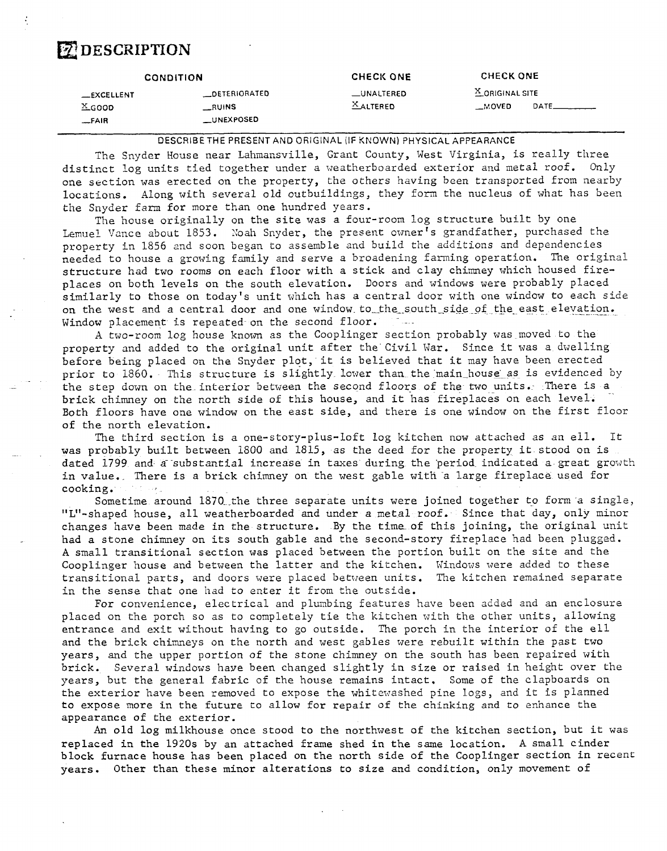### *DESCRIPTION*

|                     | <b>CONDITION</b>  | <b>CHECK ONE</b> | <b>CHECK ONE</b>           |       |
|---------------------|-------------------|------------------|----------------------------|-------|
| $\_$ EXCELLENT      | _DETERIORATED     | _UNALTERED       | <sup>X</sup> ORIGINAL SITE |       |
| $X$ <sub>GOOD</sub> | <b>RUINS</b>      | $X$ ALTERED      | _MOVED                     | DATE_ |
| $-FAIR$             | <b>LUNEXPOSED</b> |                  |                            |       |

DESCRIBE THE PRESENT AND OFilGINAL **(IF** KNOWN) PHYSICAL APPEARANCE

The Snyder House near Lahmansville, Grant County, West Virginia, is really three distinct log units tied together under a weatherboarded exterior and metal roof. Only one section was erected on the property, the others having been transported from nearby locations. Along with several old outbuildings, they £om the nucleus of what has been the Snyder farm for more than one hundred years.

The house originally on the site was a four-room log structure built by one Lemuel Vance about 1853. Noah Snyder, the present owner's grandfather, purchased the property in 1856 and soon began to assemble and build the additions and dependencies needed to house a growing family and serve a broadening farming operation. The original structure had two rooms on each floor with a stick and clay chimney which housed fireplaces on both levels on the south elevation. Doors and windows were probably placed similarly to those on today's unit which has a central door with one window to each side on the west and a central door and one window to the south side of the east elevation. Window placement is repeated on the second floor. e<br>Salaman

**A** two-room log house known as the Cooplinger section probably was moved to the property and added to the original unit after the Civil War. Since it was a dwelling before being placed on the Snyder plot, it is believed that it may have been erected prior to 1860. This structure is slightly lower than the main house as is evidenced by the step down on the interior between the second floors of the two units. There is a brick chimney on the north side of this house, and it has fireplaces on each level. Both floors have one window on the east side, and there is one window on the first floor of the north elevation.

The third section is a one-story-plus-loft log kitchen now attached as an ell. It was probably built between 1800 and 1815, as the deed for the property it stood on is dated 1799 and a substantial increase in taxes during the period indicated a great growth in value. There is a brick chimney on the west gable with a large fireplace used for cooking.

Sometime around  $1870$  the three separate units were joined together to form a single, "L"-shaped house, all weatherboarded and under a metal roof. Since that day, only minor changes have been made in the structure. By the time of this joining, the original unit had a stone chimney on its south gable and the second-story fireplace had been plugged. **A** small transitional section was placed between the portion built on the site and the Cooplinger house and between the latter and the kitchen. Windows were added to these transitional parts, and doors were placed between units. The kitchen remained separate in the sense that one had to enter it from the outside.

For convenience, electrical and plumbing features have been added and an enclosure placed on the porch so as to completely tie the kitchen with the other units, allowing entrance and exit without having to go outside. The porch in the interior of the ell and the brick chimneys on the north and west gables were rebuilt within the past two years, and the upper portion of the stone chimney on the south has been repaired with brick. Several windows have been changed slightly in size or raised in height over the pears, but the general fabric of the house remains intact. Some of the clapboards on the exterior have been removed to expose the whitexashed pine logs, and it is planned to expose more in the future to allow for repair of the chinking and to enhance the appearance of the exterior.

**An** old log milkhouse once stood to the northwest of the kitchen section, but it was replaced in the 1920s by an attached frame shed in the same location. **A** small cinder block furnace house has been placed on the north side of the Cooplinger section in recenr years. Other than these minor alterations to size and condition, only movement of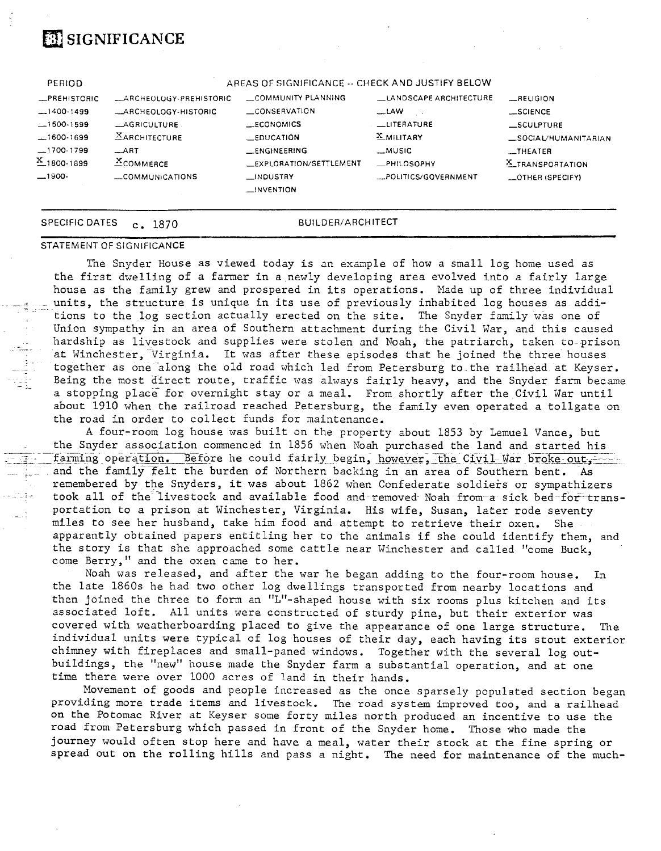# **EX SIGNIFICANCE**

| PERIOD          |                                | AREAS OF SIGNIFICANCE -- CHECK AND JUSTIFY BELOW |                        |                      |
|-----------------|--------------------------------|--------------------------------------------------|------------------------|----------------------|
| -PREHISTORIC    | <b>LARCHEOLOGY-PREHISTORIC</b> | LOMMUNITY PLANNING                               | LANDSCAPE ARCHITECTURE | $-RELIGION$          |
| $-1400-1499$    | _ARCHEOLOGY-HISTORIC           | <b>LCONSERVATION</b>                             | $-LAW$                 | _SCIENCE             |
| $-1500-1599$    | _AGRICULTURE                   | ECONOMICS                                        | LITERATURE             | $\_$ SCULPTURE       |
| $-1600-1699$    | <b>XARCHITECTURE</b>           | $\equiv$ EDUCATION                               | <b>X_MILITARY</b>      | _SOCIAL/HUMANITARIAN |
| $-1700-1799$    | ART                            | <b>LENGINEERING</b>                              | <b>_MUSIC</b>          | __THEATER            |
| $X_{1800.1899}$ | $X$ COMMERCE                   | _EXPLORATION/SETTLEMENT                          | $R$ PHILOSOPHY         | X_TRANSPORTATION     |
| $-1900-$        | COMMUNICATIONS                 | __INDUSTRY                                       | _POLITICS/GOVERNMENT   | _OTHER (SPECIFY)     |
|                 |                                | $\Box$ INVENTION                                 |                        |                      |
|                 |                                |                                                  |                        |                      |
|                 |                                |                                                  |                        |                      |

-.

SPECIFIC DATES c. 1870 BUILDER/ARCHITECT

#### STATEMENT **OF** SIGNIFICANCE

The Snyder House as viewed today is an example of how a small log home used as the first dwelling of a farmer in a newly developing area evolved into a fairly large house as the family grew and prospered in its operations. Nade up of three individual units, the structure is unique in its use of previously inhabited log houses as additions to the log section actually erected on the site. The Snyder family was one of Union sympathy in an area of Southern attachment during the Civil War, and this caused hardship as livestock and supplies were stolen and Noah, the patriarch, taken to prison at Winchester, Virginia. It was after these episodes that he joined the three houses together as one along the old road which led from Petersburg to the railhead at Keyser. Being the most direct route, traffic was always fairly heavy, and the Snyder farm became a stopping place for overnight stay or a meal. From shortly after the Civil War until about 1910 when the railroad reached Petersburg, the family even operated a tollgate on the road in order to collect funds for maintenance.

**A** four-room log house was built on the property about 1853 by Lemuel Vance, but the Snyder association commenced in 1856 when Noah purchased the land and started his farming operation. Before he could fairly begin, however, the Civil War broke out -and the family felt the burden of Northern backing in an area of Southern bent. As remembered by the Snyders, it was about 1862 when Confederate soldiers or sympathizers took all of the livestock and available food and removed Noah from-a sick bed-for transportation to a prison at Winchester, Virginia. His wife, Susan, later rode seventy miles to see her husband, take him food and attempt to retrieve their oxen. She miles to see her husband, take him food and attempt to retrieve their oxen. apparently obtained papers entitling her to the animals if she could identify them, and the story is that she approached some cattle near Winchester and called "come Buck, come Berry," and the oxen came to her.

Noah was released, and after the war he began adding to the four-room house. In the late 1860s he had two other log dwellings transported from nearby locations and then joined the three to form an "L"-shaped house with six rooms plus kitchen and its associated loft. All units were constructed of sturdy pine, but their exterior was covered with weatherboarding placed to give the appearance of one large structure. individual units were typical of log houses of their day, each having its stout exterior chimney with fireplaces and small-paned windows. Together with the several log outbuildings, the "new" house made the Snyder farm a substantial operation, and at one time there were over 1000 acres of land in their hands.

Movement of goods and people increased as the once sparsely populated section began providing more trade items and livestock. **The** road system improved too, and a railhead on the Potomac River at Keyser some forty miles north produced an incentive to use the road from Petersburg which passed in front of the Snyder home. Those who made the journey would often stop here and have a meal, water their stock at the fine spring or spread out on the rolling hills and pass a night. The need for maintenance of the much-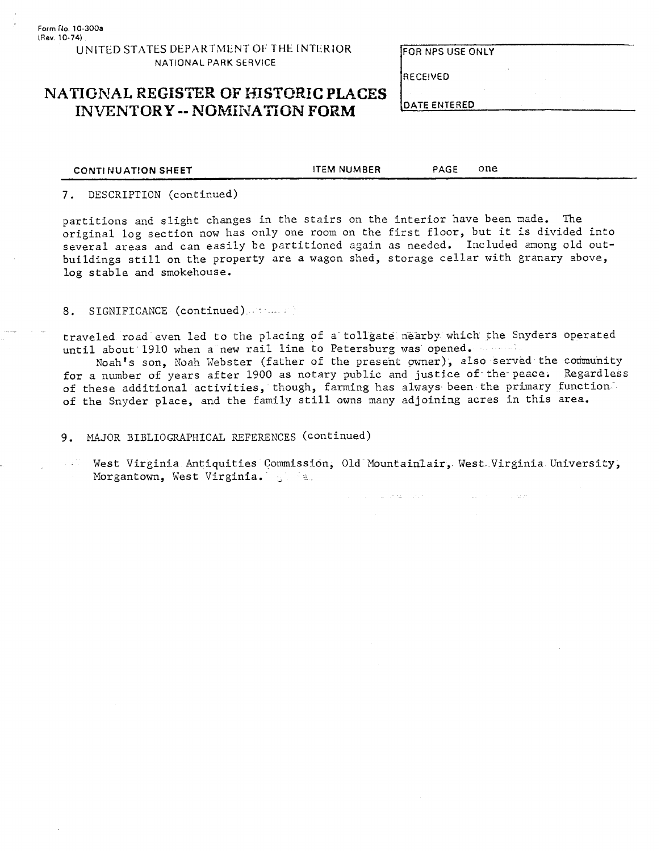FOR NPS USE ONLY

**RECEIVED** 

**DATE ENTERED** 

#### **NATIONAL REGISTER OF HISTORIC PLACES INVENTORY -- NOMINATION FORM**

#### 7. DESCRIPTION (continued)

partitions and slight changes in the stairs on the interior have been made. The original log section now has only one room on the first floor, but it is divided into several areas and can easily be partitioned again as needed. Included among old outbuildings still on the property are a wagon shed, storage cellar with granary above, log stable and smokehouse.

**CONTINUATION SHEET THEM NUMBER PAGE ONE** 

#### 8. SIGNIFICANCE (continued).

traveled road even led to the placing of a tollgate nearby which the Snyders operated until about 1910 when a new rail line to Petersburg was opened.

Noah's son, Xoah Webster (father of the present owner), also served the community for a number of years after 1900 as notary public and justice of the-peace. Regardless of these additional activities, though, farming has always been the primary function. of the Snyder place, and the family still owns many adjoining acres in this area.

9. MAJOR BIBLIOGRAPHICAL REFERENCES (continued)

West Virginia Antiquities Commission, Old- Nountainlair, Nest. Virginia University, Morgantown, West Virginia. All May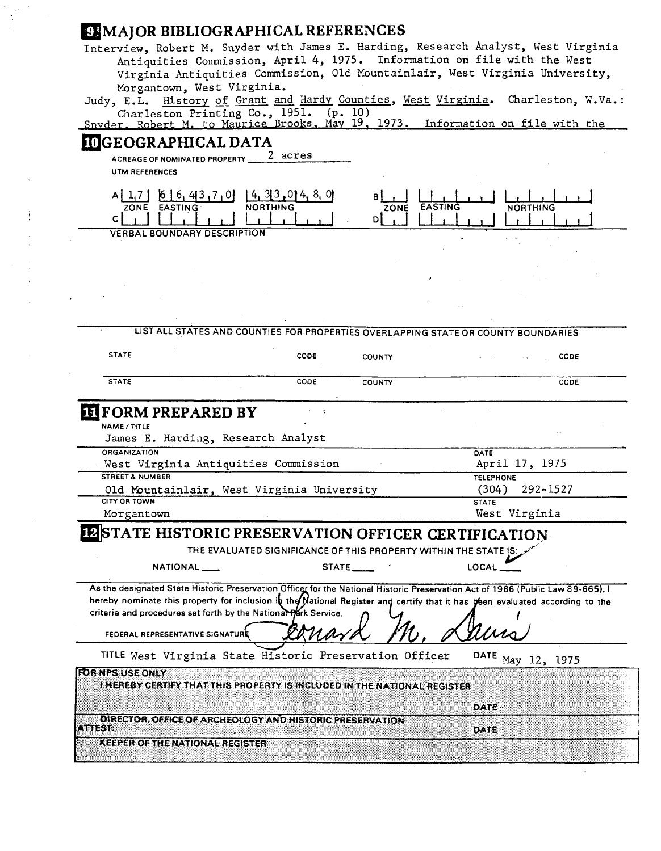#### **MAJOR BIBLIOGRAPHICAL REFERENCES**

Interview, Robert M. Snyder with James E. Harding, Research Analyst, West Virginia Antiquities Commission, April 4, 1975. Information on file with the West Virginia Antiquities Commission, Old Mountainlair, West Virginia University, Morgantown, West Virginia.

Judy, E.L. History of Grant and Hardy Counties, West Virginia. Charleston, W.Va.: Charleston Printing Co., 1951. (p. 10)<br>r<u>. Robert M. to Maurice Brooks, May 19, 1973. Information on file with the</u>

|  |  |  |  | Snyder, Robert M. to Maurice Brooks, May 19, 1973, Information on file with the |  |  |
|--|--|--|--|---------------------------------------------------------------------------------|--|--|
|  |  |  |  |                                                                                 |  |  |

#### **I GEOGRAPHICAL DATA**

**ACREAGE OF NOMINATED PROPERTY UTM REFERENCES** 

| ZONE<br><b>EASTING</b><br><b>NORTHING</b> | <b>EASTING</b><br>ZONE<br><b>NORTHING</b><br>DI |
|-------------------------------------------|-------------------------------------------------|
| VERBAL BOUNDARY DESCRIPTION               | $\sim$ $\sim$ $\sim$                            |

| <b>STATE</b>                                                    | <b>CODE</b>                                                      | <b>COUNTY</b> | CODE                                                                                                                            |
|-----------------------------------------------------------------|------------------------------------------------------------------|---------------|---------------------------------------------------------------------------------------------------------------------------------|
| <b>STATE</b>                                                    | CODE                                                             | <b>COUNTY</b> | CODE                                                                                                                            |
| <b>EIFORM PREPARED BY</b>                                       |                                                                  |               |                                                                                                                                 |
| <b>NAME/TITLE</b>                                               |                                                                  |               |                                                                                                                                 |
| James E. Harding, Research Analyst                              |                                                                  |               |                                                                                                                                 |
| <b>ORGANIZATION</b>                                             |                                                                  |               | DATE                                                                                                                            |
| West Virginia Antiquities Commission                            |                                                                  |               | April 17, 1975                                                                                                                  |
| <b>STREET &amp; NUMBER</b>                                      |                                                                  |               | <b>TELEPHONE</b>                                                                                                                |
| Old Mountainlair, West Virginia University                      |                                                                  |               | 292-1527<br>(304)                                                                                                               |
| CITY OR TOWN                                                    |                                                                  |               | <b>STATE</b>                                                                                                                    |
| Morgantown                                                      |                                                                  |               | West Virginia                                                                                                                   |
| <b>IZSTATE HISTORIC PRESERVATION OFFICER CERTIFICATION</b>      |                                                                  |               |                                                                                                                                 |
|                                                                 | THE EVALUATED SIGNIFICANCE OF THIS PROPERTY WITHIN THE STATE IS: |               |                                                                                                                                 |
|                                                                 |                                                                  | STATE _____   | LOCAL                                                                                                                           |
| NATIONAL                                                        |                                                                  |               |                                                                                                                                 |
|                                                                 |                                                                  |               |                                                                                                                                 |
|                                                                 |                                                                  |               | As the designated State Historic Preservation Officer for the National Historic Preservation Act of 1966 (Public Law 89-665), I |
| criteria and procedures set forth by the National Hark Service. |                                                                  |               | hereby nominate this property for inclusion in the Mational Register and certify that it has been evaluated according to the    |
|                                                                 |                                                                  |               |                                                                                                                                 |
| FEDERAL REPRESENTATIVE SIGNATURE                                |                                                                  |               |                                                                                                                                 |
| TITLE West Virginia State Historic Preservation Officer         |                                                                  |               | <b>DATE</b><br>May 12, 1975                                                                                                     |

DATE

DATE

**DIRECTOR, OFFICE OF ARCHEOLOGY AND HISTORIC PRESERVATION** 

ATTEST: A PARTICULAR COMPANY AND RESERVE

**KEEPER OF THE NATIONAL REGISTER**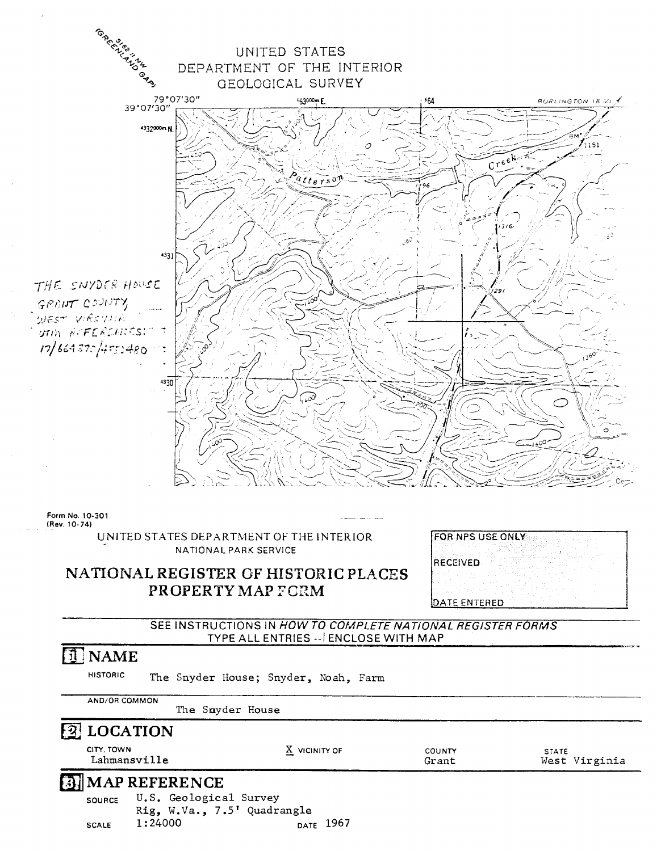

(Rev. 10-74)

UNITED STATES DEPARTMENT OF THE INTERIOR NATIONAL PARK SERVICE

| FOR NPS USE ONLY |         |  |  |  |
|------------------|---------|--|--|--|
|                  |         |  |  |  |
|                  |         |  |  |  |
| IRECEIVED        |         |  |  |  |
|                  |         |  |  |  |
|                  |         |  |  |  |
|                  |         |  |  |  |
| DΑ               | IE ENTE |  |  |  |

#### **NATIONAL REGISTER OF HISTORIC PLACES PROPERTY MAP FORM**

SEE INSTRUCTIONS IN **HOW TO COMPLETE NATIONAL REGISTER FORMS**  TYPE ALL ENTRIES -- ENCLOSE WITH MAP

## *M* NAME

HISTORIC The Snyder House; Snyder, Noah, Farm<br>AND/OR COMMON

The Snyder House

|                            | The Snyder House                                      |                      |                 |                               |
|----------------------------|-------------------------------------------------------|----------------------|-----------------|-------------------------------|
| <b>2</b> LOCATION          |                                                       |                      |                 |                               |
| CITY, TOWN<br>Lahmansville |                                                       | X VICINITY OF        | COUNTY<br>Grant | <b>STATE</b><br>West Virginia |
|                            | <b>B</b> MAP REFERENCE                                |                      |                 |                               |
| <b>SOURCE</b>              | U.S. Geological Survey<br>Rig, W.Va., 7.5' Quadrangle |                      |                 |                               |
| <b>SCALE</b>               | 1:24000                                               | <sub>DATE</sub> 1967 |                 |                               |